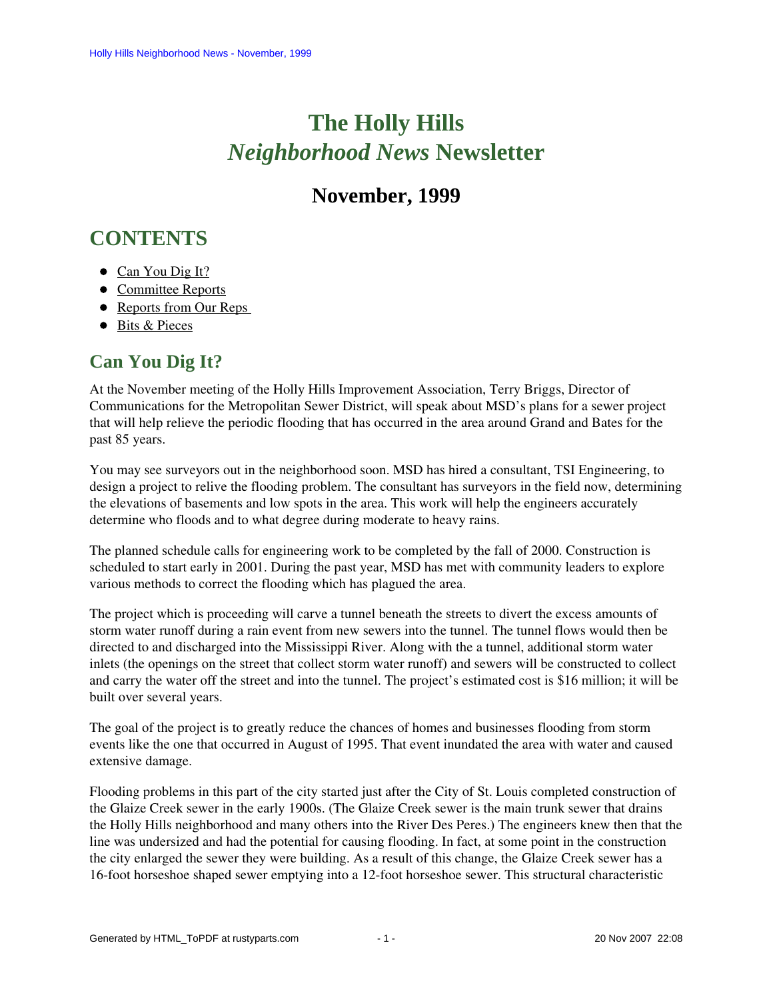# **The Holly Hills**  *Neighborhood News* **Newsletter**

## **November, 1999**

# <span id="page-0-1"></span>**CONTENTS**

- [Can You Dig It?](#page-0-0)
- [Committee Reports](#page-1-0)
- Reports from Our Reps
- [Bits & Pieces](#page-3-0)

### <span id="page-0-0"></span>**Can You Dig It?**

At the November meeting of the Holly Hills Improvement Association, Terry Briggs, Director of Communications for the Metropolitan Sewer District, will speak about MSD's plans for a sewer project that will help relieve the periodic flooding that has occurred in the area around Grand and Bates for the past 85 years.

You may see surveyors out in the neighborhood soon. MSD has hired a consultant, TSI Engineering, to design a project to relive the flooding problem. The consultant has surveyors in the field now, determining the elevations of basements and low spots in the area. This work will help the engineers accurately determine who floods and to what degree during moderate to heavy rains.

The planned schedule calls for engineering work to be completed by the fall of 2000. Construction is scheduled to start early in 2001. During the past year, MSD has met with community leaders to explore various methods to correct the flooding which has plagued the area.

The project which is proceeding will carve a tunnel beneath the streets to divert the excess amounts of storm water runoff during a rain event from new sewers into the tunnel. The tunnel flows would then be directed to and discharged into the Mississippi River. Along with the a tunnel, additional storm water inlets (the openings on the street that collect storm water runoff) and sewers will be constructed to collect and carry the water off the street and into the tunnel. The project's estimated cost is \$16 million; it will be built over several years.

The goal of the project is to greatly reduce the chances of homes and businesses flooding from storm events like the one that occurred in August of 1995. That event inundated the area with water and caused extensive damage.

Flooding problems in this part of the city started just after the City of St. Louis completed construction of the Glaize Creek sewer in the early 1900s. (The Glaize Creek sewer is the main trunk sewer that drains the Holly Hills neighborhood and many others into the River Des Peres.) The engineers knew then that the line was undersized and had the potential for causing flooding. In fact, at some point in the construction the city enlarged the sewer they were building. As a result of this change, the Glaize Creek sewer has a 16-foot horseshoe shaped sewer emptying into a 12-foot horseshoe sewer. This structural characteristic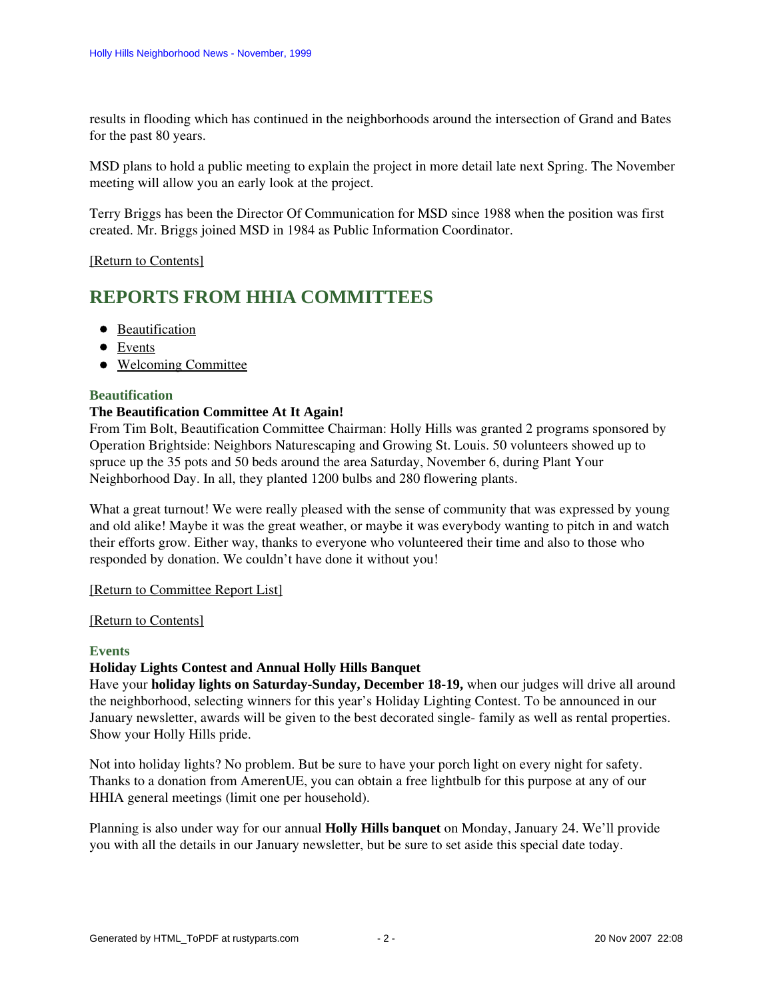results in flooding which has continued in the neighborhoods around the intersection of Grand and Bates for the past 80 years.

MSD plans to hold a public meeting to explain the project in more detail late next Spring. The November meeting will allow you an early look at the project.

Terry Briggs has been the Director Of Communication for MSD since 1988 when the position was first created. Mr. Briggs joined MSD in 1984 as Public Information Coordinator.

#### <span id="page-1-0"></span>[\[Return to Contents\]](#page-0-1)

### <span id="page-1-3"></span>**REPORTS FROM HHIA COMMITTEES**

- [Beautification](#page-1-1)
- [Events](#page-1-2)
- [Welcoming Committee](#page-2-1)

#### <span id="page-1-1"></span>**Beautification**

#### **The Beautification Committee At It Again!**

From Tim Bolt, Beautification Committee Chairman: Holly Hills was granted 2 programs sponsored by Operation Brightside: Neighbors Naturescaping and Growing St. Louis. 50 volunteers showed up to spruce up the 35 pots and 50 beds around the area Saturday, November 6, during Plant Your Neighborhood Day. In all, they planted 1200 bulbs and 280 flowering plants.

What a great turnout! We were really pleased with the sense of community that was expressed by young and old alike! Maybe it was the great weather, or maybe it was everybody wanting to pitch in and watch their efforts grow. Either way, thanks to everyone who volunteered their time and also to those who responded by donation. We couldn't have done it without you!

#### [\[Return to Committee Report List\]](#page-1-3)

#### [\[Return to Contents\]](#page-0-1)

#### <span id="page-1-2"></span>**Events**

#### **Holiday Lights Contest and Annual Holly Hills Banquet**

Have your **holiday lights on Saturday-Sunday, December 18-19,** when our judges will drive all around the neighborhood, selecting winners for this year's Holiday Lighting Contest. To be announced in our January newsletter, awards will be given to the best decorated single- family as well as rental properties. Show your Holly Hills pride.

Not into holiday lights? No problem. But be sure to have your porch light on every night for safety. Thanks to a donation from AmerenUE, you can obtain a free lightbulb for this purpose at any of our HHIA general meetings (limit one per household).

Planning is also under way for our annual **Holly Hills banquet** on Monday, January 24. We'll provide you with all the details in our January newsletter, but be sure to set aside this special date today.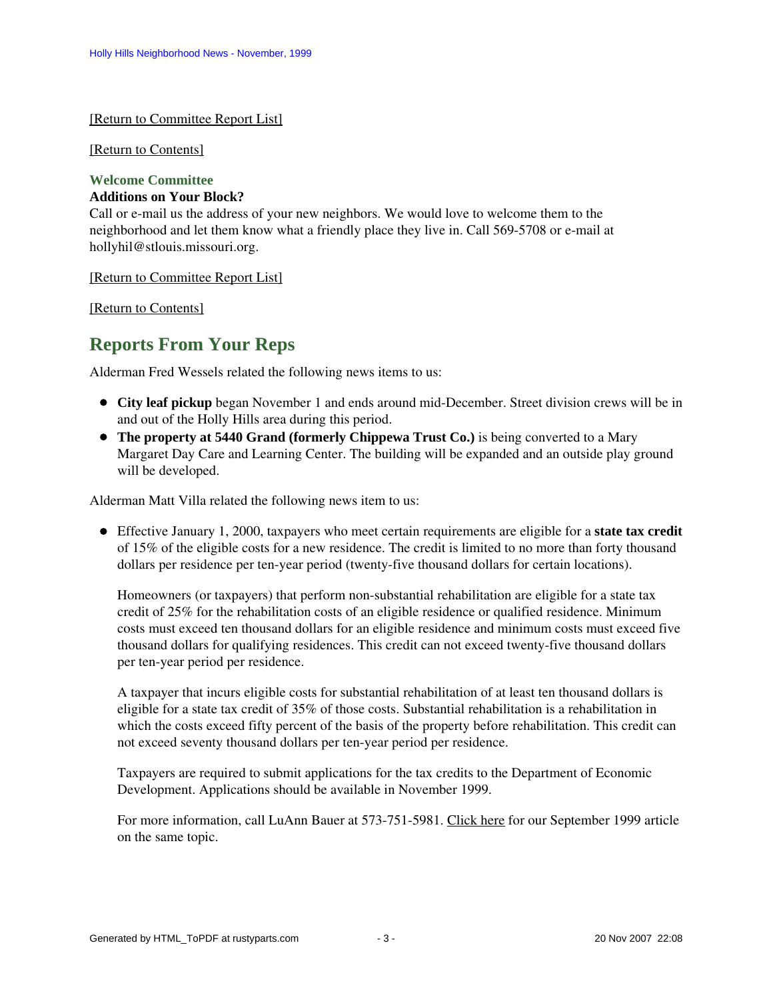#### [\[Return to Committee Report List\]](#page-1-3)

#### [\[Return to Contents\]](#page-0-1)

#### <span id="page-2-1"></span>**Welcome Committee**

#### **Additions on Your Block?**

Call or e-mail us the address of your new neighbors. We would love to welcome them to the neighborhood and let them know what a friendly place they live in. Call 569-5708 or e-mail at hollyhil@stlouis.missouri.org.

[\[Return to Committee Report List\]](#page-1-3)

<span id="page-2-0"></span>[\[Return to Contents\]](#page-0-1)

### **Reports From Your Reps**

Alderman Fred Wessels related the following news items to us:

- **City leaf pickup** began November 1 and ends around mid-December. Street division crews will be in and out of the Holly Hills area during this period.
- **The property at 5440 Grand (formerly Chippewa Trust Co.)** is being converted to a Mary Margaret Day Care and Learning Center. The building will be expanded and an outside play ground will be developed.

Alderman Matt Villa related the following news item to us:

Effective January 1, 2000, taxpayers who meet certain requirements are eligible for a **state tax credit** of 15% of the eligible costs for a new residence. The credit is limited to no more than forty thousand dollars per residence per ten-year period (twenty-five thousand dollars for certain locations).

Homeowners (or taxpayers) that perform non-substantial rehabilitation are eligible for a state tax credit of 25% for the rehabilitation costs of an eligible residence or qualified residence. Minimum costs must exceed ten thousand dollars for an eligible residence and minimum costs must exceed five thousand dollars for qualifying residences. This credit can not exceed twenty-five thousand dollars per ten-year period per residence.

A taxpayer that incurs eligible costs for substantial rehabilitation of at least ten thousand dollars is eligible for a state tax credit of 35% of those costs. Substantial rehabilitation is a rehabilitation in which the costs exceed fifty percent of the basis of the property before rehabilitation. This credit can not exceed seventy thousand dollars per ten-year period per residence.

Taxpayers are required to submit applications for the tax credits to the Department of Economic Development. Applications should be available in November 1999.

For more information, call LuAnn Bauer at 573-751-5981. Click here for our September 1999 article on the same topic.